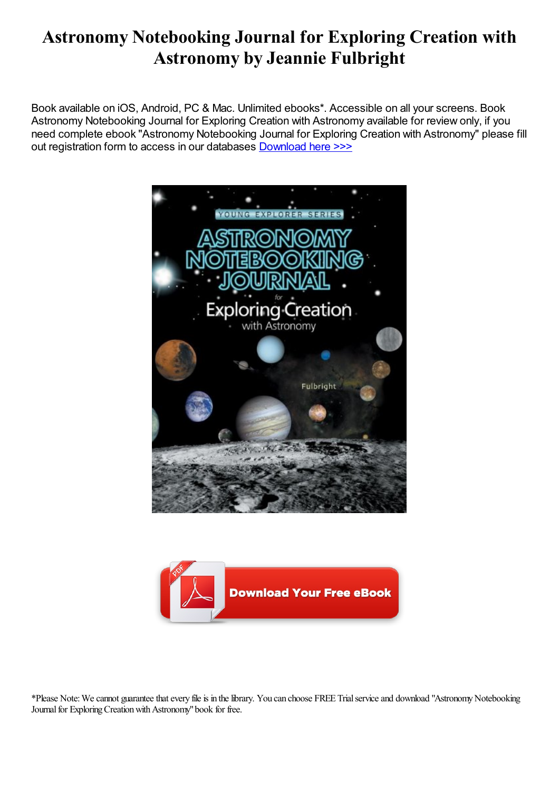# Astronomy Notebooking Journal for Exploring Creation with Astronomy by Jeannie Fulbright

Book available on iOS, Android, PC & Mac. Unlimited ebooks\*. Accessible on all your screens. Book Astronomy Notebooking Journal for Exploring Creation with Astronomy available for review only, if you need complete ebook "Astronomy Notebooking Journal for Exploring Creation with Astronomy" please fill out registration form to access in our databases [Download](https://nuonlinebooks.com/sbookfile/QXN0cm9ub215IE5vdGVib29raW5nIEpvdXJuYWwgZm9yIEV4cGxvcmluZyBDcmVhdGlvbiB3aXRoIEFzdHJvbm9teQ==) here >>>





\*Please Note:Wecannot guaranteethatevery fileis in thelibrary. You can choose FREE Trialserviceand download "AstronomyNotebooking Journal for Exploring Creation with Astronomy" book for free.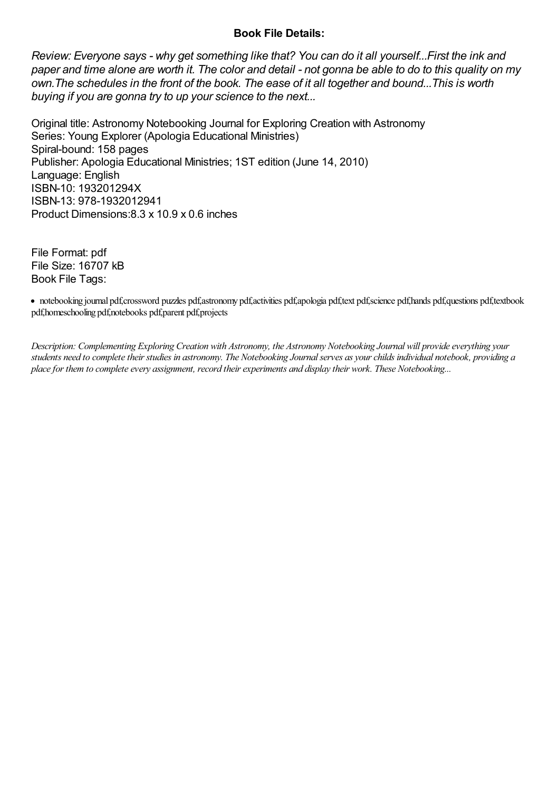### Book File Details:

Review: Everyone says - why get something like that? You can do it all yourself...First the ink and paper and time alone are worth it. The color and detail - not gonna be able to do to this quality on my own.The schedules in the front of the book. The ease of it all together and bound...This is worth buying if you are gonna try to up your science to the next...

Original title: Astronomy Notebooking Journal for Exploring Creation with Astronomy Series: Young Explorer (Apologia Educational Ministries) Spiral-bound: 158 pages Publisher: Apologia Educational Ministries; 1ST edition (June 14, 2010) Language: English ISBN-10: 193201294X ISBN-13: 978-1932012941 Product Dimensions:8.3 x 10.9 x 0.6 inches

File Format: pdf File Size: 16707 kB Book File Tags:

notebooking journal pdf,crossword puzzles pdf,astronomy pdf,activities pdf,apologia pdf,text pdf,science pdf,hands pdf,questions pdf,textbook pdf,homeschooling pdf,notebooks pdf,parent pdf,projects

Description: Complementing Exploring Creation with Astronomy, the Astronomy Notebooking Journal will provide everything your students need to complete their studies in astronomy. The Notebooking Journal serves as your childs individual notebook, providing a place for them to complete every assignment, record their experiments and display their work. These Notebooking...